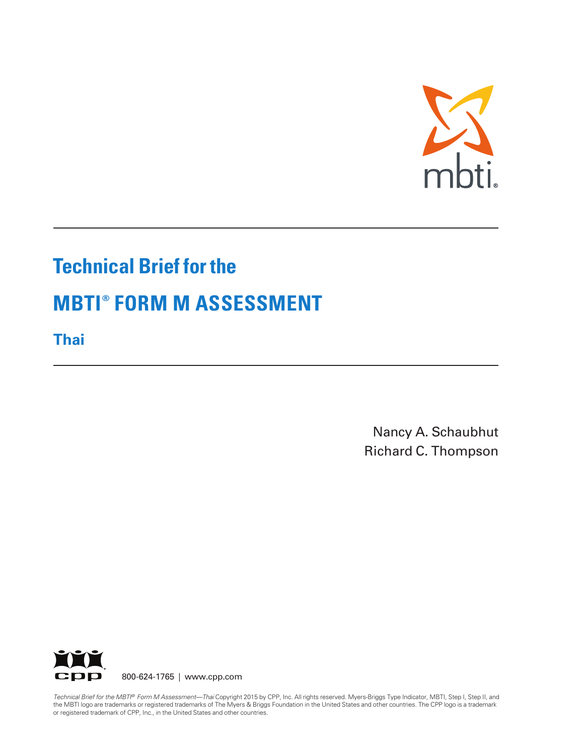

# **Technical Brief for the MBTI ® FORM M ASSESSMENT**

**Thai**

Nancy A. Schaubhut Richard C. Thompson



*Technical Brief for the MBTI ® Form M Assessment—Thai* Copyright 2015 by CPP, Inc. All rights reserved. Myers-Briggs Type Indicator, MBTI, Step I, Step II, and the MBTI logo are trademarks or registered trademarks of The Myers & Briggs Foundation in the United States and other countries. The CPP logo is a trademark or registered trademark of CPP, Inc., in the United States and other countries.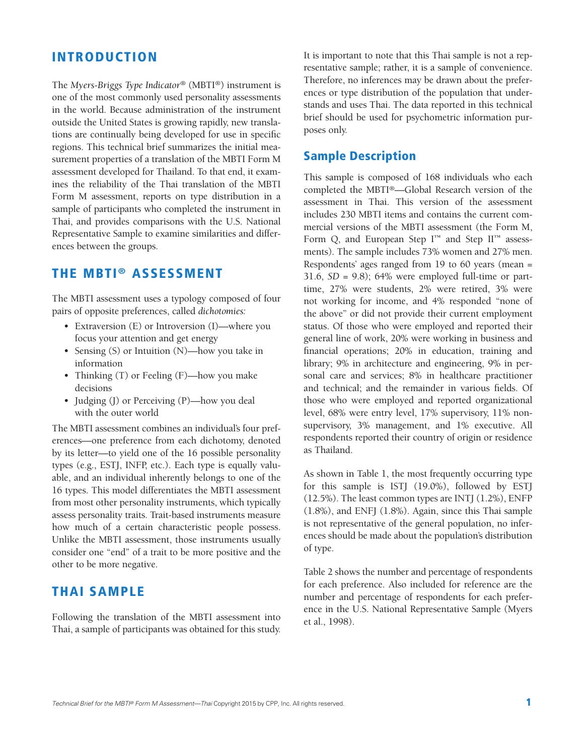## **INTRODUCTION**

The *Myers-Briggs Type Indicator®* (MBTI®) instrument is one of the most commonly used personality assessments in the world. Because administration of the instrument outside the United States is growing rapidly, new translations are continually being developed for use in specific regions. This technical brief summarizes the initial measurement properties of a translation of the MBTI Form M assessment developed for Thailand. To that end, it examines the reliability of the Thai translation of the MBTI Form M assessment, reports on type distribution in a sample of participants who completed the instrument in Thai, and provides comparisons with the U.S. National Representative Sample to examine similarities and differences between the groups.

# **THE MBTI ® ASSESSMENT**

The MBTI assessment uses a typology composed of four pairs of opposite preferences, called *dichotomies:*

- Extraversion (E) or Introversion (I)—where you focus your attention and get energy
- Sensing (S) or Intuition (N)—how you take in information
- Thinking (T) or Feeling (F)—how you make decisions
- Judging (J) or Perceiving (P)—how you deal with the outer world

The MBTI assessment combines an individual's four preferences—one preference from each dichotomy, denoted by its letter—to yield one of the 16 possible personality types (e.g., ESTJ, INFP, etc.). Each type is equally valuable, and an individual inherently belongs to one of the 16 types. This model differentiates the MBTI assessment from most other personality instruments, which typically assess personality traits. Trait-based instruments measure how much of a certain characteristic people possess. Unlike the MBTI assessment, those instruments usually consider one "end" of a trait to be more positive and the other to be more negative.

#### **THAI SAMPLE**

Following the translation of the MBTI assessment into Thai, a sample of participants was obtained for this study. It is important to note that this Thai sample is not a representative sample; rather, it is a sample of convenience. Therefore, no inferences may be drawn about the preferences or type distribution of the population that understands and uses Thai. The data reported in this technical brief should be used for psychometric information purposes only.

## **Sample Description**

This sample is composed of 168 individuals who each completed the MBTI®—Global Research version of the assessment in Thai. This version of the assessment includes 230 MBTI items and contains the current commercial versions of the MBTI assessment (the Form M, Form Q, and European Step  $I^{\scriptscriptstyle TM}$  and Step  $II^{\scriptscriptstyle TM}$  assessments). The sample includes 73% women and 27% men. Respondents' ages ranged from 19 to 60 years (mean = 31.6, *SD* = 9.8); 64% were employed full-time or parttime, 27% were students, 2% were retired, 3% were not working for income, and 4% responded "none of the above" or did not provide their current employment status. Of those who were employed and reported their general line of work, 20% were working in business and financial operations; 20% in education, training and library; 9% in architecture and engineering, 9% in personal care and services; 8% in healthcare practitioner and technical; and the remainder in various fields. Of those who were employed and reported organizational level, 68% were entry level, 17% supervisory, 11% nonsupervisory, 3% management, and 1% executive. All respondents reported their country of origin or residence as Thailand.

As shown in Table 1, the most frequently occurring type for this sample is ISTJ (19.0%), followed by ESTJ (12.5%). The least common types are INTJ (1.2%), ENFP (1.8%), and ENFJ (1.8%). Again, since this Thai sample is not representative of the general population, no inferences should be made about the population's distribution of type.

Table 2 shows the number and percentage of respondents for each preference. Also included for reference are the number and percentage of respondents for each preference in the U.S. National Representative Sample (Myers et al., 1998).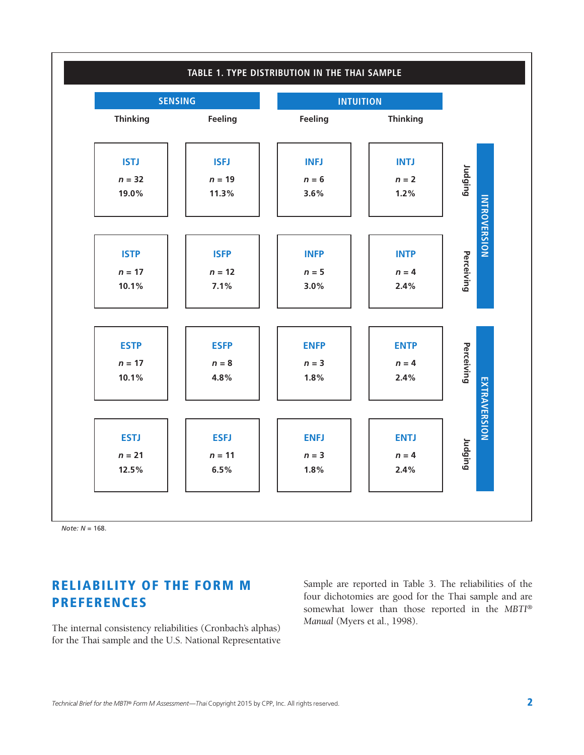

*Note: N* = 168.

# **RELIABILITY OF THE FORM M PREFERENCES**

The internal consistency reliabilities (Cronbach's alphas) for the Thai sample and the U.S. National Representative Sample are reported in Table 3. The reliabilities of the four dichotomies are good for the Thai sample and are somewhat lower than those reported in the *MBTI® Manual* (Myers et al., 1998).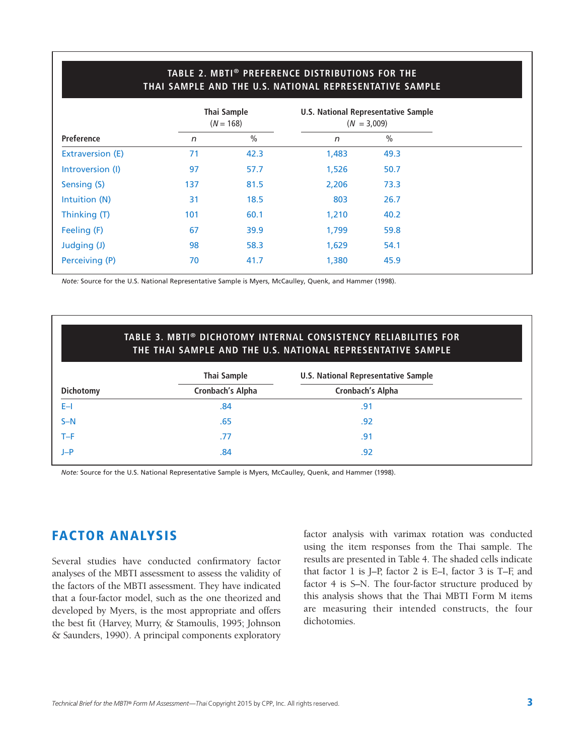#### **TABLE 2. MBTI® PREFERENCE DISTRIBUTIONS FOR THE THAI SAMPLE AND THE U.S. NATIONAL REPRESENTATIVE SAMPLE**

|                   | Thai Sample<br>$(N = 168)$ |               | U.S. National Representative Sample<br>$(N = 3,009)$ |               |  |
|-------------------|----------------------------|---------------|------------------------------------------------------|---------------|--|
| <b>Preference</b> | n                          | $\frac{0}{0}$ | $\sqrt{n}$                                           | $\frac{0}{0}$ |  |
| Extraversion (E)  | 71                         | 42.3          | 1,483                                                | 49.3          |  |
| Introversion (I)  | 97                         | 57.7          | 1,526                                                | 50.7          |  |
| Sensing (S)       | 137                        | 81.5          | 2,206                                                | 73.3          |  |
| Intuition (N)     | 31                         | 18.5          | 803                                                  | 26.7          |  |
| Thinking (T)      | 101                        | 60.1          | 1,210                                                | 40.2          |  |
| Feeling (F)       | 67                         | 39.9          | 1,799                                                | 59.8          |  |
| Judging (J)       | 98                         | 58.3          | 1,629                                                | 54.1          |  |
| Perceiving (P)    | 70                         | 41.7          | 1,380                                                | 45.9          |  |

*Note:* Source for the U.S. National Representative Sample is Myers, McCaulley, Quenk, and Hammer (1998).

#### **TABLE 3. MBTI® DICHOTOMY INTERNAL CONSISTENCY RELIABILITIES FOR THE THAI SAMPLE AND THE U.S. NATIONAL REPRESENTATIVE SAMPLE**

|                  | Thai Sample             | <b>U.S. National Representative Sample</b> |  |
|------------------|-------------------------|--------------------------------------------|--|
| <b>Dichotomy</b> | <b>Cronbach's Alpha</b> | <b>Cronbach's Alpha</b>                    |  |
| $E-1$            | .84                     | .91                                        |  |
| $S-N$            | .65                     | .92                                        |  |
| $T-F$            | .77                     | .91                                        |  |
| J-P              | .84                     | .92                                        |  |

*Note:* Source for the U.S. National Representative Sample is Myers, McCaulley, Quenk, and Hammer (1998).

# **FACTOR ANALYSIS**

Several studies have conducted confirmatory factor analyses of the MBTI assessment to assess the validity of the factors of the MBTI assessment. They have indicated that a four-factor model, such as the one theorized and developed by Myers, is the most appropriate and offers the best fit (Harvey, Murry, & Stamoulis, 1995; Johnson & Saunders, 1990). A principal components exploratory

factor analysis with varimax rotation was conducted using the item responses from the Thai sample. The results are presented in Table 4. The shaded cells indicate that factor 1 is J–P, factor 2 is E–I, factor 3 is T–F, and factor 4 is S–N. The four-factor structure produced by this analysis shows that the Thai MBTI Form M items are measuring their intended constructs, the four dichotomies.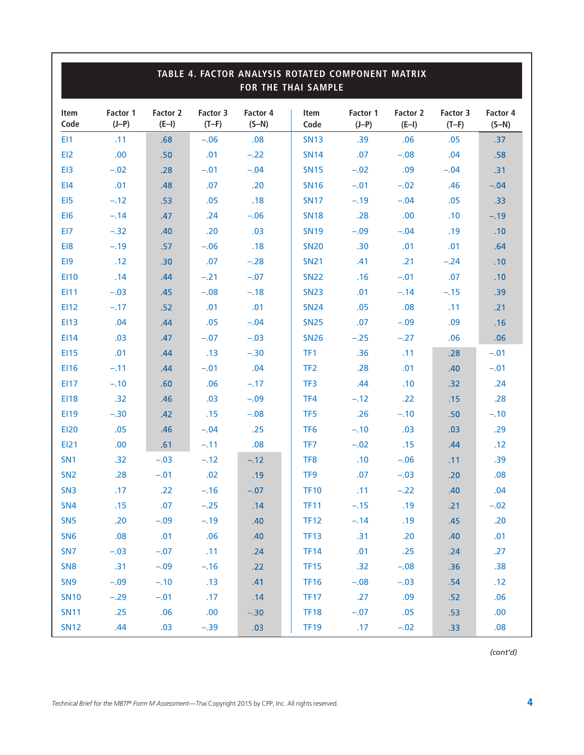| TABLE 4. FACTOR ANALYSIS ROTATED COMPONENT MATRIX<br>FOR THE THAI SAMPLE |                     |                     |                     |                     |                 |                     |                     |                     |                     |  |
|--------------------------------------------------------------------------|---------------------|---------------------|---------------------|---------------------|-----------------|---------------------|---------------------|---------------------|---------------------|--|
| Item<br>Code                                                             | Factor 1<br>$(J-P)$ | Factor 2<br>$(E-I)$ | Factor 3<br>$(T-F)$ | Factor 4<br>$(S-N)$ | Item<br>Code    | Factor 1<br>$(J-P)$ | Factor 2<br>$(E-I)$ | Factor 3<br>$(T-F)$ | Factor 4<br>$(S-N)$ |  |
| EI1                                                                      | .11                 | .68                 | $-.06$              | .08                 | <b>SN13</b>     | .39                 | .06                 | .05                 | .37                 |  |
| EI <sub>2</sub>                                                          | .00                 | .50                 | .01                 | $-.22$              | <b>SN14</b>     | .07                 | $-.08$              | .04                 | .58                 |  |
| EI3                                                                      | $-.02$              | .28                 | $-.01$              | $-.04$              | <b>SN15</b>     | $-.02$              | .09                 | $-.04$              | .31                 |  |
| E <sub>14</sub>                                                          | .01                 | .48                 | .07                 | .20                 | <b>SN16</b>     | $-.01$              | $-.02$              | .46                 | $-.04$              |  |
| EI5                                                                      | $-.12$              | .53                 | .05                 | .18                 | <b>SN17</b>     | $-.19$              | $-.04$              | .05                 | .33                 |  |
| EI6                                                                      | $-.14$              | .47                 | .24                 | $-.06$              | <b>SN18</b>     | .28                 | .00                 | .10                 | $-.19$              |  |
| EI7                                                                      | $-.32$              | .40                 | .20                 | .03                 | <b>SN19</b>     | $-.09$              | $-.04$              | .19                 | .10                 |  |
| EI8                                                                      | $-.19$              | .57                 | $-.06$              | .18                 | <b>SN20</b>     | .30                 | .01                 | .01                 | .64                 |  |
| EI9                                                                      | .12                 | .30                 | .07                 | $-.28$              | <b>SN21</b>     | .41                 | .21                 | $-.24$              | .10                 |  |
| <b>EI10</b>                                                              | .14                 | .44                 | $-.21$              | $-.07$              | <b>SN22</b>     | .16                 | $-.01$              | .07                 | .10                 |  |
| EI11                                                                     | $-.03$              | .45                 | $-.08$              | $-.18$              | <b>SN23</b>     | .01                 | $-.14$              | $-.15$              | .39                 |  |
| <b>EI12</b>                                                              | $-.17$              | .52                 | .01                 | .01                 | <b>SN24</b>     | .05                 | .08                 | .11                 | .21                 |  |
| <b>EI13</b>                                                              | .04                 | .44                 | .05                 | $-.04$              | <b>SN25</b>     | .07                 | $-.09$              | .09                 | .16                 |  |
| <b>EI14</b>                                                              | .03                 | .47                 | $-.07$              | $-.03$              | <b>SN26</b>     | $-.25$              | $-.27$              | .06                 | .06                 |  |
| <b>EI15</b>                                                              | .01                 | .44                 | .13                 | $-.30$              | TF <sub>1</sub> | .36                 | .11                 | .28                 | $-.01$              |  |
| <b>EI16</b>                                                              | $-.11$              | .44                 | $-.01$              | .04                 | TF <sub>2</sub> | .28                 | .01                 | .40                 | $-.01$              |  |
| <b>EI17</b>                                                              | $-.10$              | .60                 | .06                 | $-.17$              | TF3             | .44                 | .10                 | .32                 | .24                 |  |
| <b>EI18</b>                                                              | .32                 | .46                 | .03                 | $-.09$              | TF4             | $-.12$              | .22                 | .15                 | .28                 |  |
| EI19                                                                     | $-.30$              | .42                 | .15                 | $-.08$              | TF <sub>5</sub> | .26                 | $-.10$              | .50                 | $-.10$              |  |
| <b>EI20</b>                                                              | .05                 | .46                 | $-.04$              | .25                 | TF <sub>6</sub> | $-.10$              | .03                 | .03                 | .29                 |  |
| <b>EI21</b>                                                              | .00                 | .61                 | $-.11$              | .08                 | TF7             | $-.02$              | .15                 | .44                 | .12                 |  |
| SN <sub>1</sub>                                                          | .32                 | $-.03$              | $-.12$              | $-.12$              | TF <sub>8</sub> | .10                 | $-.06$              | .11                 | .39                 |  |
| SN <sub>2</sub>                                                          | .28                 | $-.01$              | .02                 | .19                 | TF <sub>9</sub> | .07                 | $-.03$              | .20                 | .08                 |  |
| SN <sub>3</sub>                                                          | .17                 | .22                 | $-.16$              | $-.07$              | TF10            | .11                 | $-.22$              | .40                 | .04                 |  |
| <b>SN4</b>                                                               | .15                 | .07                 | $-.25$              | .14                 | <b>TF11</b>     | $-.15$              | .19                 | .21                 | $-.02$              |  |
| SN <sub>5</sub>                                                          | .20                 | $-.09$              | $-.19$              | .40                 | <b>TF12</b>     | $-.14$              | .19                 | .45                 | .20                 |  |
| SN <sub>6</sub>                                                          | .08                 | .01                 | .06                 | .40                 | <b>TF13</b>     | .31                 | .20                 | .40                 | .01                 |  |
| SN <sub>7</sub>                                                          | $-.03$              | $-.07$              | .11                 | .24                 | <b>TF14</b>     | .01                 | .25                 | .24                 | .27                 |  |
| SN <sub>8</sub>                                                          | .31                 | $-.09$              | $-.16$              | .22                 | <b>TF15</b>     | .32                 | $-.08$              | .36                 | .38                 |  |
| SN <sub>9</sub>                                                          | $-.09$              | $-.10$              | .13                 | .41                 | <b>TF16</b>     | $-.08$              | $-.03$              | .54                 | .12                 |  |
| <b>SN10</b>                                                              | $-.29$              | $-.01$              | .17                 | .14                 | <b>TF17</b>     | .27                 | .09                 | .52                 | .06                 |  |
| <b>SN11</b>                                                              | .25                 | .06                 | .00                 | $-.30$              | <b>TF18</b>     | $-.07$              | .05                 | .53                 | .00                 |  |
| <b>SN12</b>                                                              | .44                 | .03                 | $-.39$              | .03                 | <b>TF19</b>     | .17                 | $-.02$              | .33                 | .08                 |  |

*(cont'd)*

Г